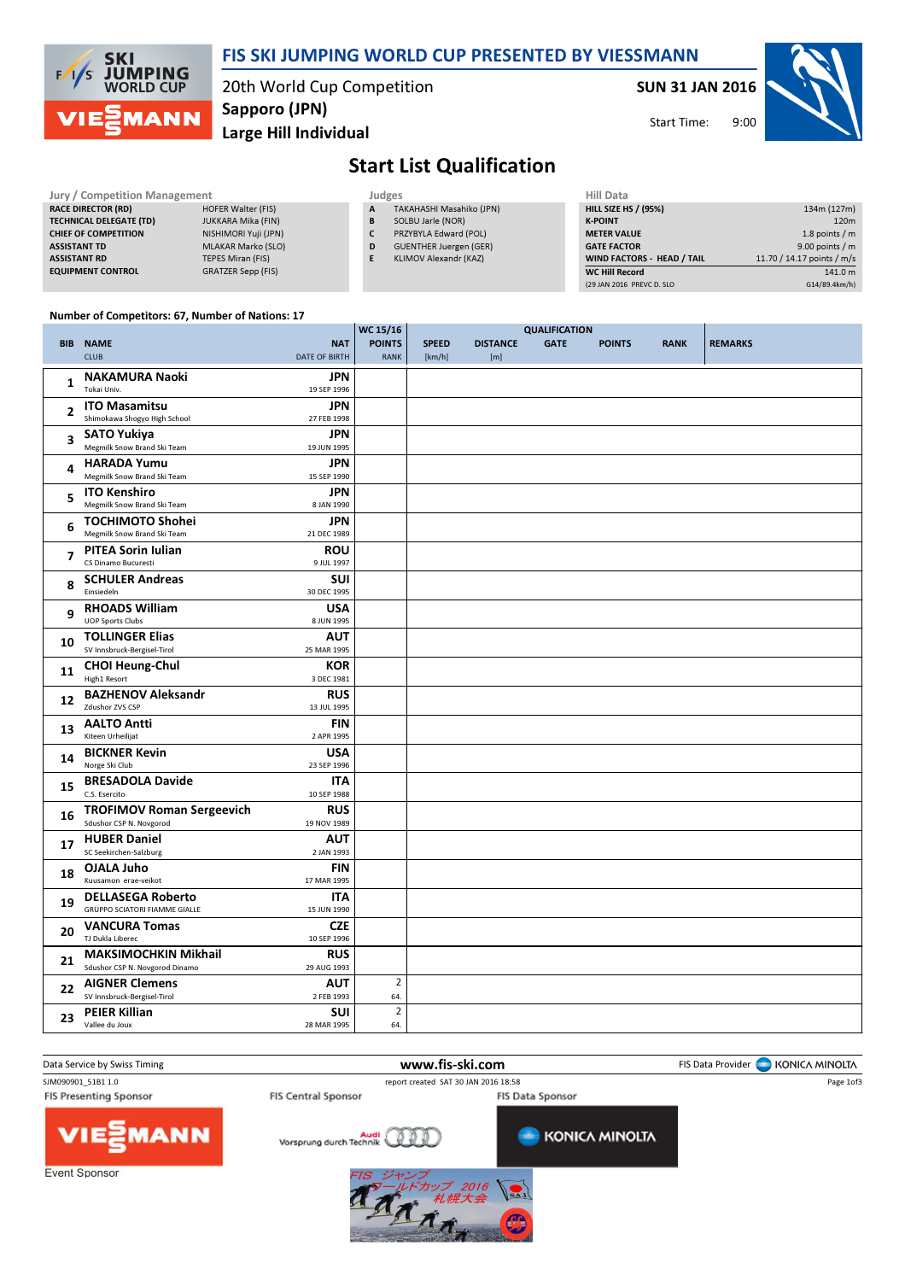

## FIS SKI JUMPING WORLD CUP PRESENTED BY VIESSMANN

20th World Cup Competition Sapporo (JPN)

Large Hill Individual

SUN 31 JAN 2016



Start Time:

## Start List Qualification

| <b>Jury / Competition Management</b> |                           |  | Judges |                               | <b>Hill Data</b>   |
|--------------------------------------|---------------------------|--|--------|-------------------------------|--------------------|
| <b>RACE DIRECTOR (RD)</b>            | <b>HOFER Walter (FIS)</b> |  | A      | TAKAHASHI Masahiko (JPN)      | <b>HILL SIZE H</b> |
| <b>TECHNICAL DELEGATE (TD)</b>       | JUKKARA Mika (FIN)        |  | в      | SOLBU Jarle (NOR)             | <b>K-POINT</b>     |
| <b>CHIEF OF COMPETITION</b>          | NISHIMORI Yuji (JPN)      |  |        | PRZYBYLA Edward (POL)         | <b>METER VAI</b>   |
| <b>ASSISTANT TD</b>                  | <b>MLAKAR Marko (SLO)</b> |  | D      | <b>GUENTHER Juergen (GER)</b> | <b>GATE FACT</b>   |
| <b>ASSISTANT RD</b>                  | TEPES Miran (FIS)         |  |        | KLIMOV Alexandr (KAZ)         | <b>WIND FACT</b>   |
| <b>EQUIPMENT CONTROL</b>             | <b>GRATZER Sepp (FIS)</b> |  |        |                               | <b>WC Hill Reg</b> |

| Hill Data                   |                            |
|-----------------------------|----------------------------|
| <b>HILL SIZE HS / (95%)</b> | 134m (127m)                |
| <b>K-POINT</b>              | 120 <sub>m</sub>           |
| <b>METER VALUE</b>          | 1.8 points $/m$            |
| <b>GATE FACTOR</b>          | 9.00 points $/m$           |
| WIND FACTORS - HEAD / TAIL  | 11.70 / 14.17 points / m/s |
| <b>WC Hill Record</b>       | 141.0 m                    |
| (29 JAN 2016 PREVC D. SLO   | G14/89.4km/h)              |

9:00

#### Number of Competitors: 67, Number of Nations: 17

|                |                                                             |                           | WC 15/16       |              |                 | <b>QUALIFICATION</b> |               |             |                |
|----------------|-------------------------------------------------------------|---------------------------|----------------|--------------|-----------------|----------------------|---------------|-------------|----------------|
|                | <b>BIB NAME</b>                                             | <b>NAT</b>                | <b>POINTS</b>  | <b>SPEED</b> | <b>DISTANCE</b> | <b>GATE</b>          | <b>POINTS</b> | <b>RANK</b> | <b>REMARKS</b> |
|                | <b>CLUB</b>                                                 | <b>DATE OF BIRTH</b>      | <b>RANK</b>    | [km/h]       | [m]             |                      |               |             |                |
|                | <b>NAKAMURA Naoki</b>                                       | <b>JPN</b>                |                |              |                 |                      |               |             |                |
| 1              | Tokai Univ.                                                 | 19 SEP 1996               |                |              |                 |                      |               |             |                |
|                |                                                             | <b>JPN</b>                |                |              |                 |                      |               |             |                |
| $\overline{2}$ | <b>ITO Masamitsu</b><br>Shimokawa Shogyo High School        | 27 FEB 1998               |                |              |                 |                      |               |             |                |
|                |                                                             |                           |                |              |                 |                      |               |             |                |
| 3              | <b>SATO Yukiya</b><br>Megmilk Snow Brand Ski Team           | <b>JPN</b>                |                |              |                 |                      |               |             |                |
|                |                                                             | 19 JUN 1995               |                |              |                 |                      |               |             |                |
| 4              | <b>HARADA Yumu</b>                                          | <b>JPN</b>                |                |              |                 |                      |               |             |                |
|                | Megmilk Snow Brand Ski Team                                 | 15 SEP 1990               |                |              |                 |                      |               |             |                |
| 5              | <b>ITO Kenshiro</b>                                         | <b>JPN</b>                |                |              |                 |                      |               |             |                |
|                | Megmilk Snow Brand Ski Team                                 | 8 JAN 1990                |                |              |                 |                      |               |             |                |
| 6              | <b>TOCHIMOTO Shohei</b>                                     | <b>JPN</b>                |                |              |                 |                      |               |             |                |
|                | Megmilk Snow Brand Ski Team                                 | 21 DEC 1989               |                |              |                 |                      |               |             |                |
| $\overline{7}$ | <b>PITEA Sorin Iulian</b>                                   | <b>ROU</b>                |                |              |                 |                      |               |             |                |
|                | CS Dinamo Bucuresti                                         | 9 JUL 1997                |                |              |                 |                      |               |             |                |
| 8              | <b>SCHULER Andreas</b>                                      | <b>SUI</b>                |                |              |                 |                      |               |             |                |
|                | Einsiedeln                                                  | 30 DEC 1995               |                |              |                 |                      |               |             |                |
| 9              | <b>RHOADS William</b>                                       | <b>USA</b>                |                |              |                 |                      |               |             |                |
|                | <b>UOP Sports Clubs</b>                                     | 8 JUN 1995                |                |              |                 |                      |               |             |                |
|                | <b>TOLLINGER Elias</b>                                      | <b>AUT</b>                |                |              |                 |                      |               |             |                |
| 10             | SV Innsbruck-Bergisel-Tirol                                 | 25 MAR 1995               |                |              |                 |                      |               |             |                |
|                | <b>CHOI Heung-Chul</b>                                      | <b>KOR</b>                |                |              |                 |                      |               |             |                |
| 11             | High1 Resort                                                | 3 DEC 1981                |                |              |                 |                      |               |             |                |
|                | <b>BAZHENOV Aleksandr</b>                                   | <b>RUS</b>                |                |              |                 |                      |               |             |                |
| 12             | <b>Zdushor ZVS CSP</b>                                      | 13 JUL 1995               |                |              |                 |                      |               |             |                |
|                | <b>AALTO Antti</b>                                          | <b>FIN</b>                |                |              |                 |                      |               |             |                |
| 13             | Kiteen Urheilijat                                           | 2 APR 1995                |                |              |                 |                      |               |             |                |
|                | <b>BICKNER Kevin</b>                                        | <b>USA</b>                |                |              |                 |                      |               |             |                |
| 14             | Norge Ski Club                                              | 23 SEP 1996               |                |              |                 |                      |               |             |                |
|                | <b>BRESADOLA Davide</b>                                     | <b>ITA</b>                |                |              |                 |                      |               |             |                |
| 15             | C.S. Esercito                                               | 10 SEP 1988               |                |              |                 |                      |               |             |                |
|                |                                                             |                           |                |              |                 |                      |               |             |                |
| 16             | <b>TROFIMOV Roman Sergeevich</b><br>Sdushor CSP N. Novgorod | <b>RUS</b><br>19 NOV 1989 |                |              |                 |                      |               |             |                |
|                |                                                             |                           |                |              |                 |                      |               |             |                |
| 17             | <b>HUBER Daniel</b><br>SC Seekirchen-Salzburg               | <b>AUT</b><br>2 JAN 1993  |                |              |                 |                      |               |             |                |
|                |                                                             |                           |                |              |                 |                      |               |             |                |
| 18             | OJALA Juho                                                  | <b>FIN</b>                |                |              |                 |                      |               |             |                |
|                | Kuusamon erae-veikot                                        | 17 MAR 1995               |                |              |                 |                      |               |             |                |
| 19             | <b>DELLASEGA Roberto</b>                                    | <b>ITA</b>                |                |              |                 |                      |               |             |                |
|                | <b>GRUPPO SCIATORI FIAMME GIALLE</b>                        | 15 JUN 1990               |                |              |                 |                      |               |             |                |
| 20             | <b>VANCURA Tomas</b>                                        | <b>CZE</b>                |                |              |                 |                      |               |             |                |
|                | TJ Dukla Liberec                                            | 10 SEP 1996               |                |              |                 |                      |               |             |                |
| 21             | <b>MAKSIMOCHKIN Mikhail</b>                                 | <b>RUS</b>                |                |              |                 |                      |               |             |                |
|                | Sdushor CSP N. Novgorod Dinamo                              | 29 AUG 1993               |                |              |                 |                      |               |             |                |
| 22             | <b>AIGNER Clemens</b>                                       | <b>AUT</b>                | $\overline{2}$ |              |                 |                      |               |             |                |
|                | SV Innsbruck-Bergisel-Tirol                                 | 2 FEB 1993                | 64.            |              |                 |                      |               |             |                |
| 23             | <b>PEIER Killian</b>                                        | <b>SUI</b>                | $\overline{2}$ |              |                 |                      |               |             |                |
|                | Vallee du Joux                                              | 28 MAR 1995               | 64.            |              |                 |                      |               |             |                |

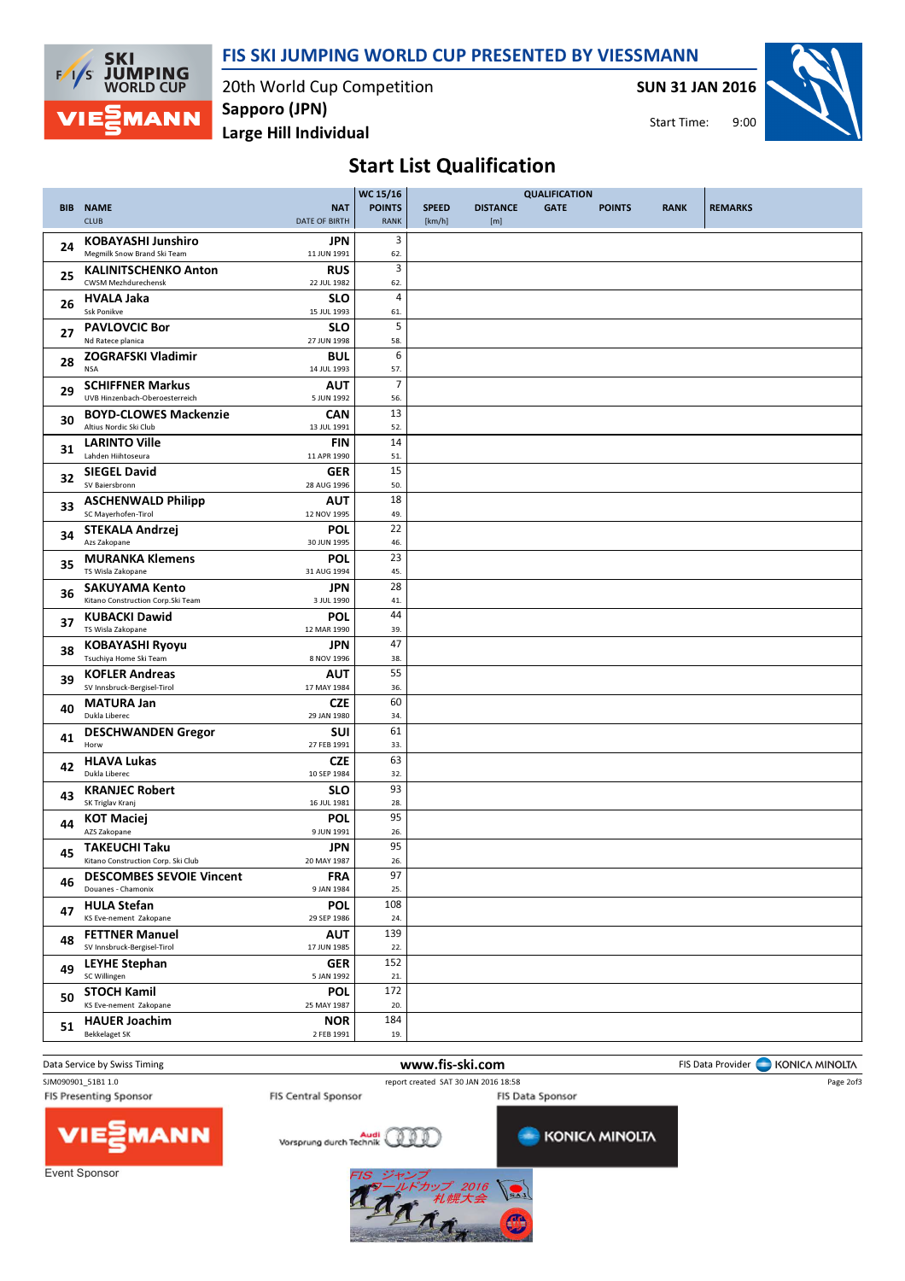

FIS SKI JUMPING WORLD CUP PRESENTED BY VIESSMANN

20th World Cup Competition Sapporo (JPN)

SUN 31 JAN 2016





# Start List Qualification

| <b>BIB</b> | <b>NAME</b><br><b>CLUB</b>                                            | <b>NAT</b><br><b>DATE OF BIRTH</b> | WC 15/16<br><b>POINTS</b><br><b>RANK</b> | <b>SPEED</b><br>[km/h] | <b>DISTANCE</b><br>[m] | <b>QUALIFICATION</b><br><b>GATE</b> | <b>POINTS</b> | <b>RANK</b> | <b>REMARKS</b> |
|------------|-----------------------------------------------------------------------|------------------------------------|------------------------------------------|------------------------|------------------------|-------------------------------------|---------------|-------------|----------------|
| 24         | <b>KOBAYASHI Junshiro</b><br>Megmilk Snow Brand Ski Team              | <b>JPN</b><br>11 JUN 1991          | 3<br>62.                                 |                        |                        |                                     |               |             |                |
| 25         | <b>KALINITSCHENKO Anton</b><br>CWSM Mezhdurechensk                    | <b>RUS</b><br>22 JUL 1982          | 3<br>62.                                 |                        |                        |                                     |               |             |                |
| 26         | <b>HVALA Jaka</b><br><b>Ssk Ponikve</b>                               | <b>SLO</b><br>15 JUL 1993          | 4<br>61.                                 |                        |                        |                                     |               |             |                |
| 27         | <b>PAVLOVCIC Bor</b><br>Nd Ratece planica                             | <b>SLO</b><br>27 JUN 1998          | 5<br>58.                                 |                        |                        |                                     |               |             |                |
| 28         | ZOGRAFSKI Vladimir<br><b>NSA</b>                                      | <b>BUL</b><br>14 JUL 1993          | 6<br>57.                                 |                        |                        |                                     |               |             |                |
| 29         | <b>SCHIFFNER Markus</b><br>UVB Hinzenbach-Oberoesterreich             | AUT<br>5 JUN 1992                  | $\overline{7}$<br>56.                    |                        |                        |                                     |               |             |                |
| 30         | <b>BOYD-CLOWES Mackenzie</b><br>Altius Nordic Ski Club                | <b>CAN</b><br>13 JUL 1991          | 13<br>52.                                |                        |                        |                                     |               |             |                |
| 31         | <b>LARINTO Ville</b><br>Lahden Hiihtoseura                            | <b>FIN</b><br>11 APR 1990          | 14<br>51.                                |                        |                        |                                     |               |             |                |
| 32         | <b>SIEGEL David</b><br>SV Baiersbronn                                 | GER<br>28 AUG 1996                 | 15<br>50.                                |                        |                        |                                     |               |             |                |
| 33         | <b>ASCHENWALD Philipp</b><br>SC Mayerhofen-Tirol                      | <b>AUT</b><br>12 NOV 1995          | 18<br>49.                                |                        |                        |                                     |               |             |                |
| 34         | <b>STEKALA Andrzej</b><br>Azs Zakopane                                | <b>POL</b><br>30 JUN 1995          | 22<br>46.                                |                        |                        |                                     |               |             |                |
| 35         | <b>MURANKA Klemens</b><br>TS Wisla Zakopane                           | POL<br>31 AUG 1994                 | 23<br>45.                                |                        |                        |                                     |               |             |                |
| 36         | <b>SAKUYAMA Kento</b><br>Kitano Construction Corp.Ski Team            | <b>JPN</b><br>3 JUL 1990           | 28<br>41.                                |                        |                        |                                     |               |             |                |
| 37         | <b>KUBACKI Dawid</b><br>TS Wisla Zakopane                             | <b>POL</b><br>12 MAR 1990          | 44<br>39.                                |                        |                        |                                     |               |             |                |
| 38         | <b>KOBAYASHI Ryoyu</b><br>Tsuchiya Home Ski Team                      | JPN<br>8 NOV 1996                  | 47<br>38.                                |                        |                        |                                     |               |             |                |
| 39         | <b>KOFLER Andreas</b><br>SV Innsbruck-Bergisel-Tirol                  | AUT<br>17 MAY 1984                 | 55<br>36.                                |                        |                        |                                     |               |             |                |
| 40         | <b>MATURA Jan</b><br>Dukla Liberec                                    | <b>CZE</b><br>29 JAN 1980          | 60<br>34.                                |                        |                        |                                     |               |             |                |
| 41         | <b>DESCHWANDEN Gregor</b><br>Horw                                     | SUI<br>27 FEB 1991                 | 61<br>33.                                |                        |                        |                                     |               |             |                |
| 42         | <b>HLAVA Lukas</b><br>Dukla Liberec                                   | <b>CZE</b><br>10 SEP 1984          | 63<br>32.                                |                        |                        |                                     |               |             |                |
| 43         | <b>KRANJEC Robert</b><br>SK Triglav Kranj                             | <b>SLO</b><br>16 JUL 1981          | 93<br>28.<br>95                          |                        |                        |                                     |               |             |                |
| 44         | <b>KOT Maciej</b><br>AZS Zakopane<br><b>TAKEUCHI Taku</b>             | <b>POL</b><br>9 JUN 1991           | 26.<br>95                                |                        |                        |                                     |               |             |                |
| 45         | Kitano Construction Corp. Ski Club<br><b>DESCOMBES SEVOIE Vincent</b> | JPN<br>20 MAY 1987<br><b>FRA</b>   | 26.<br>97                                |                        |                        |                                     |               |             |                |
| 46         | Douanes - Chamonix<br><b>HULA Stefan</b>                              | 9 JAN 1984<br><b>POL</b>           | 25.<br>108                               |                        |                        |                                     |               |             |                |
| 47         | KS Eve-nement Zakopane<br><b>FETTNER Manuel</b>                       | 29 SEP 1986<br><b>AUT</b>          | 24.<br>139                               |                        |                        |                                     |               |             |                |
| 48         | SV Innsbruck-Bergisel-Tirol<br><b>LEYHE Stephan</b>                   | 17 JUN 1985<br><b>GER</b>          | 22.<br>152                               |                        |                        |                                     |               |             |                |
| 49         | SC Willingen<br><b>STOCH Kamil</b>                                    | 5 JAN 1992<br><b>POL</b>           | 21.<br>172                               |                        |                        |                                     |               |             |                |
| 50         | KS Eve-nement Zakopane                                                | 25 MAY 1987                        | 20.<br>184                               |                        |                        |                                     |               |             |                |
| 51         | <b>HAUER Joachim</b><br><b>Bekkelaget SK</b>                          | <b>NOR</b><br>2 FEB 1991           | 19.                                      |                        |                        |                                     |               |             |                |

Data Service by Swiss Timing **Example 20 and Service by Swiss Timing WWW.fis-ski.com** FIS Data Provider FIS Data Provider FIS Data Provider FIS Data Provider FIS Data Provider FIS Data Provider FIS Data Provider FIS Data P SJM090901\_51B1 1.0 report created SAT 30 JAN 2016 18:58 Page 2of3**FIS Presenting Sponsor** FIS Central Sponsor FIS Data Sponsor MANN Vorsprung durch Technik **KONICA MINOLTA** 

Event Sponsor